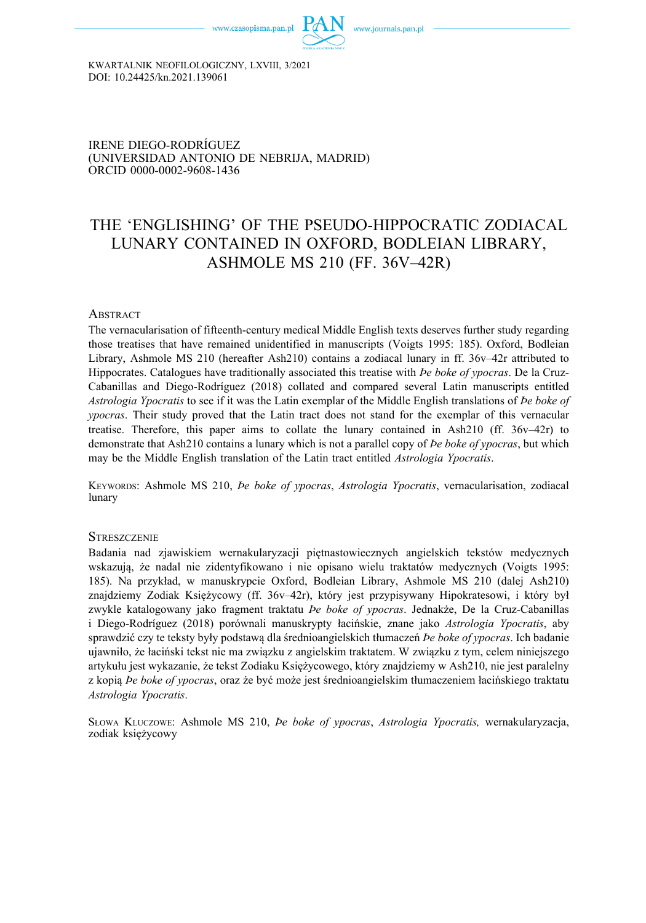

KWARTALNIK NEOFILOLOGICZNY, LXVIII, 3/2021 DOI: 10.24425/kn.2021.139061

IRENE DIEGO-RODRÍGUEZ (UNIVERSIDAD ANTONIO DE NEBRIJA, MADRID) [ORCID 0000-0002-9608-1436](https://orcid.org/0000-0002-9608-1436) 

# THE 'ENGLISHING' OF THE PSEUDO-HIPPOCRATIC ZODIACAL LUNARY CONTAINED IN OXFORD, BODLEIAN LIBRARY, ASHMOLE MS 210 (FF. 36V–42R)

#### **ABSTRACT**

The vernacularisation of fifteenth-century medical Middle English texts deserves further study regarding those treatises that have remained unidentified in manuscripts (Voigts 1995: 185). Oxford, Bodleian Library, Ashmole MS 210 (hereafter Ash210) contains a zodiacal lunary in ff. 36v–42r attributed to Hippocrates. Catalogues have traditionally associated this treatise with *Þe boke of ypocras*. De la Cruz-Cabanillas and Diego-Rodríguez (2018) collated and compared several Latin manuscripts entitled *Astrologia Ypocratis* to see if it was the Latin exemplar of the Middle English translations of *Þe boke of ypocras*. Their study proved that the Latin tract does not stand for the exemplar of this vernacular treatise. Therefore, this paper aims to collate the lunary contained in Ash210 (ff.  $36v-42r$ ) to demonstrate that Ash210 contains a lunary which is not a parallel copy of *Þe boke of ypocras*, but which may be the Middle English translation of the Latin tract entitled *Astrologia Ypocratis*.

KEYWORDS: Ashmole MS 210, *Þe boke of ypocras*, *Astrologia Ypocratis*, vernacularisation, zodiacal lunary

#### **STRESZCZENIE**

Badania nad zjawiskiem wernakularyzacji piętnastowiecznych angielskich tekstów medycznych wskazują, że nadal nie zidentyfikowano i nie opisano wielu traktatów medycznych (Voigts 1995: 185). Na przykład, w manuskrypcie Oxford, Bodleian Library, Ashmole MS 210 (dalej Ash210) znajdziemy Zodiak Księżycowy (ff. 36v–42r), który jest przypisywany Hipokratesowi, i który był zwykle katalogowany jako fragment traktatu *Þe boke of ypocras*. Jednakże, De la Cruz-Cabanillas i Diego-Rodríguez (2018) porównali manuskrypty łacińskie, znane jako *Astrologia Ypocratis*, aby sprawdzić czy te teksty były podstawą dla średnioangielskich tłumaczeń *Þe boke of ypocras*. Ich badanie ujawniło, że łaciński tekst nie ma związku z angielskim traktatem. W związku z tym, celem niniejszego artykułu jest wykazanie, że tekst Zodiaku Księżycowego, który znajdziemy w Ash210, nie jest paralelny z kopią *Þe boke of ypocras*, oraz że być może jest średnioangielskim tłumaczeniem łacińskiego traktatu *Astrologia Ypocratis*.

SŁOWA KLUCZOWE: Ashmole MS 210, *Þe boke of ypocras*, *Astrologia Ypocratis,* wernakularyzacja, zodiak księżycowy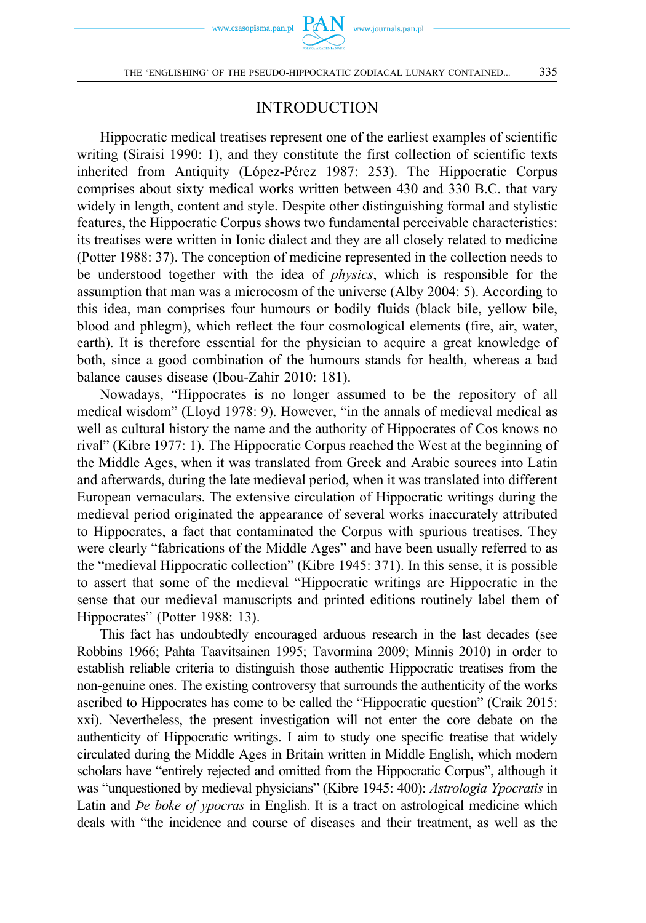

## INTRODUCTION

Hippocratic medical treatises represent one of the earliest examples of scientific writing (Siraisi 1990: 1), and they constitute the first collection of scientific texts inherited from Antiquity (López-Pérez 1987: 253). The Hippocratic Corpus comprises about sixty medical works written between 430 and 330 B.C. that vary widely in length, content and style. Despite other distinguishing formal and stylistic features, the Hippocratic Corpus shows two fundamental perceivable characteristics: its treatises were written in Ionic dialect and they are all closely related to medicine (Potter 1988: 37). The conception of medicine represented in the collection needs to be understood together with the idea of *physics*, which is responsible for the assumption that man was a microcosm of the universe (Alby 2004: 5). According to this idea, man comprises four humours or bodily fluids (black bile, yellow bile, blood and phlegm), which reflect the four cosmological elements (fire, air, water, earth). It is therefore essential for the physician to acquire a great knowledge of both, since a good combination of the humours stands for health, whereas a bad balance causes disease (Ibou-Zahir 2010: 181).

Nowadays, "Hippocrates is no longer assumed to be the repository of all medical wisdom" (Lloyd 1978: 9). However, "in the annals of medieval medical as well as cultural history the name and the authority of Hippocrates of Cos knows no rival" (Kibre 1977: 1). The Hippocratic Corpus reached the West at the beginning of the Middle Ages, when it was translated from Greek and Arabic sources into Latin and afterwards, during the late medieval period, when it was translated into different European vernaculars. The extensive circulation of Hippocratic writings during the medieval period originated the appearance of several works inaccurately attributed to Hippocrates, a fact that contaminated the Corpus with spurious treatises. They were clearly "fabrications of the Middle Ages" and have been usually referred to as the "medieval Hippocratic collection" (Kibre 1945: 371). In this sense, it is possible to assert that some of the medieval "Hippocratic writings are Hippocratic in the sense that our medieval manuscripts and printed editions routinely label them of Hippocrates" (Potter 1988: 13).

This fact has undoubtedly encouraged arduous research in the last decades (see Robbins 1966; Pahta Taavitsainen 1995; Tavormina 2009; Minnis 2010) in order to establish reliable criteria to distinguish those authentic Hippocratic treatises from the non-genuine ones. The existing controversy that surrounds the authenticity of the works ascribed to Hippocrates has come to be called the "Hippocratic question" (Craik 2015: xxi). Nevertheless, the present investigation will not enter the core debate on the authenticity of Hippocratic writings. I aim to study one specific treatise that widely circulated during the Middle Ages in Britain written in Middle English, which modern scholars have "entirely rejected and omitted from the Hippocratic Corpus", although it was "unquestioned by medieval physicians" (Kibre 1945: 400): *Astrologia Ypocratis* in Latin and *Þe boke of ypocras* in English. It is a tract on astrological medicine which deals with "the incidence and course of diseases and their treatment, as well as the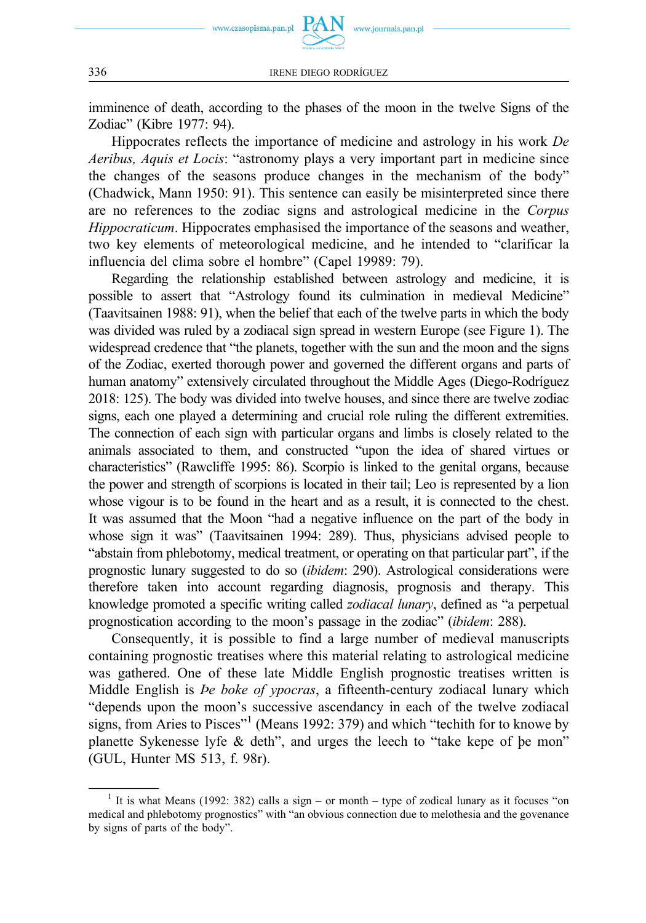

www.journals.pan.pl

imminence of death, according to the phases of the moon in the twelve Signs of the Zodiac" (Kibre 1977: 94).

Hippocrates reflects the importance of medicine and astrology in his work *De Aeribus, Aquis et Locis*: "astronomy plays a very important part in medicine since the changes of the seasons produce changes in the mechanism of the body" (Chadwick, Mann 1950: 91). This sentence can easily be misinterpreted since there are no references to the zodiac signs and astrological medicine in the *Corpus Hippocraticum*. Hippocrates emphasised the importance of the seasons and weather, two key elements of meteorological medicine, and he intended to "clarificar la influencia del clima sobre el hombre" (Capel 19989: 79).

Regarding the relationship established between astrology and medicine, it is possible to assert that "Astrology found its culmination in medieval Medicine" (Taavitsainen 1988: 91), when the belief that each of the twelve parts in which the body was divided was ruled by a zodiacal sign spread in western Europe (see Figure 1). The widespread credence that "the planets, together with the sun and the moon and the signs of the Zodiac, exerted thorough power and governed the different organs and parts of human anatomy" extensively circulated throughout the Middle Ages (Diego-Rodríguez 2018: 125). The body was divided into twelve houses, and since there are twelve zodiac signs, each one played a determining and crucial role ruling the different extremities. The connection of each sign with particular organs and limbs is closely related to the animals associated to them, and constructed "upon the idea of shared virtues or characteristics" (Rawcliffe 1995: 86). Scorpio is linked to the genital organs, because the power and strength of scorpions is located in their tail; Leo is represented by a lion whose vigour is to be found in the heart and as a result, it is connected to the chest. It was assumed that the Moon "had a negative influence on the part of the body in whose sign it was" (Taavitsainen 1994: 289). Thus, physicians advised people to "abstain from phlebotomy, medical treatment, or operating on that particular part", if the prognostic lunary suggested to do so (*ibidem*: 290). Astrological considerations were therefore taken into account regarding diagnosis, prognosis and therapy. This knowledge promoted a specific writing called *zodiacal lunary*, defined as "a perpetual prognostication according to the moon's passage in the zodiac" (*ibidem*: 288).

Consequently, it is possible to find a large number of medieval manuscripts containing prognostic treatises where this material relating to astrological medicine was gathered. One of these late Middle English prognostic treatises written is Middle English is *Þe boke of ypocras*, a fifteenth-century zodiacal lunary which "depends upon the moon's successive ascendancy in each of the twelve zodiacal signs, from Aries to Pisces"<sup>1</sup> (Means 1992: 379) and which "techith for to knowe by planette Sykenesse lyfe & deth", and urges the leech to "take kepe of þe mon" (GUL, Hunter MS 513, f. 98r).

<sup>&</sup>lt;sup>1</sup> It is what Means (1992: 382) calls a sign – or month – type of zodical lunary as it focuses "on medical and phlebotomy prognostics" with "an obvious connection due to melothesia and the govenance by signs of parts of the body".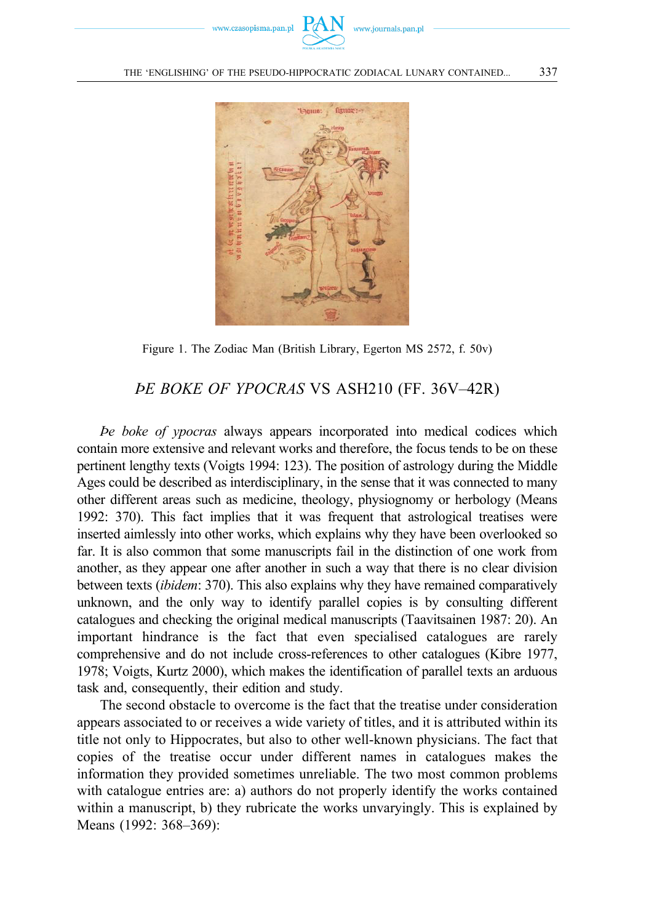



Figure 1. The Zodiac Man (British Library, Egerton MS 2572, f. 50v)

## *ÞE BOKE OF YPOCRAS* VS ASH210 (FF. 36V–42R)

*Þe boke of ypocras* always appears incorporated into medical codices which contain more extensive and relevant works and therefore, the focus tends to be on these pertinent lengthy texts (Voigts 1994: 123). The position of astrology during the Middle Ages could be described as interdisciplinary, in the sense that it was connected to many other different areas such as medicine, theology, physiognomy or herbology (Means 1992: 370). This fact implies that it was frequent that astrological treatises were inserted aimlessly into other works, which explains why they have been overlooked so far. It is also common that some manuscripts fail in the distinction of one work from another, as they appear one after another in such a way that there is no clear division between texts (*ibidem*: 370). This also explains why they have remained comparatively unknown, and the only way to identify parallel copies is by consulting different catalogues and checking the original medical manuscripts (Taavitsainen 1987: 20). An important hindrance is the fact that even specialised catalogues are rarely comprehensive and do not include cross-references to other catalogues (Kibre 1977, 1978; Voigts, Kurtz 2000), which makes the identification of parallel texts an arduous task and, consequently, their edition and study.

The second obstacle to overcome is the fact that the treatise under consideration appears associated to or receives a wide variety of titles, and it is attributed within its title not only to Hippocrates, but also to other well-known physicians. The fact that copies of the treatise occur under different names in catalogues makes the information they provided sometimes unreliable. The two most common problems with catalogue entries are: a) authors do not properly identify the works contained within a manuscript, b) they rubricate the works unvaryingly. This is explained by Means (1992: 368–369):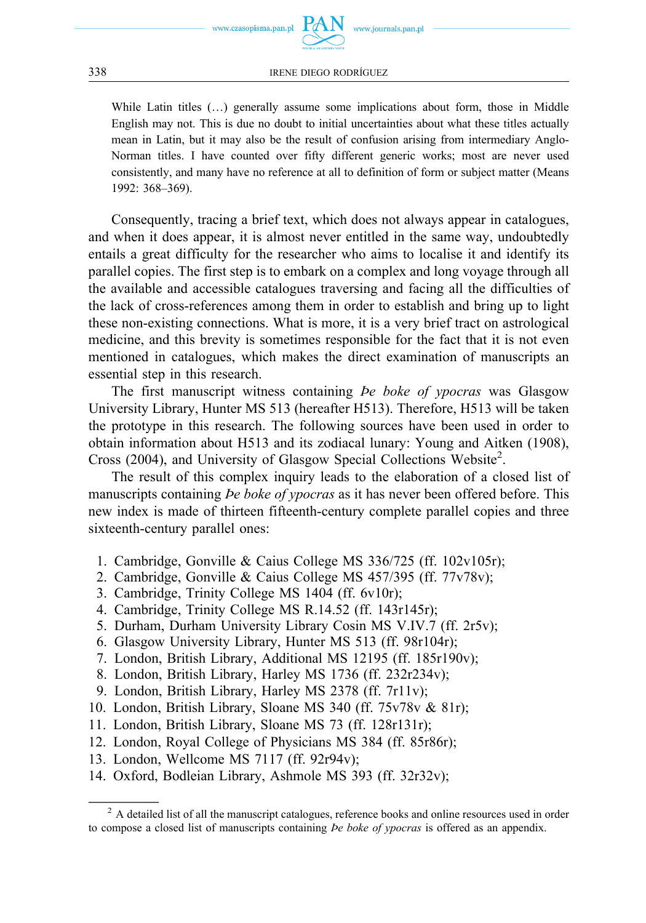While Latin titles (…) generally assume some implications about form, those in Middle English may not. This is due no doubt to initial uncertainties about what these titles actually mean in Latin, but it may also be the result of confusion arising from intermediary Anglo-Norman titles. I have counted over fifty different generic works; most are never used consistently, and many have no reference at all to definition of form or subject matter (Means 1992: 368–369).

Consequently, tracing a brief text, which does not always appear in catalogues, and when it does appear, it is almost never entitled in the same way, undoubtedly entails a great difficulty for the researcher who aims to localise it and identify its parallel copies. The first step is to embark on a complex and long voyage through all the available and accessible catalogues traversing and facing all the difficulties of the lack of cross-references among them in order to establish and bring up to light these non-existing connections. What is more, it is a very brief tract on astrological medicine, and this brevity is sometimes responsible for the fact that it is not even mentioned in catalogues, which makes the direct examination of manuscripts an essential step in this research.

The first manuscript witness containing *Þe boke of ypocras* was Glasgow University Library, Hunter MS 513 (hereafter H513). Therefore, H513 will be taken the prototype in this research. The following sources have been used in order to obtain information about H513 and its zodiacal lunary: Young and Aitken (1908), Cross (2004), and University of Glasgow Special Collections Website<sup>2</sup>.

The result of this complex inquiry leads to the elaboration of a closed list of manuscripts containing *Þe boke of ypocras* as it has never been offered before. This new index is made of thirteen fifteenth-century complete parallel copies and three sixteenth-century parallel ones:

- 1. Cambridge, Gonville & Caius College MS 336/725 (ff. 102v105r);
- 2. Cambridge, Gonville & Caius College MS 457/395 (ff. 77v78v);
- 3. Cambridge, Trinity College MS 1404 (ff. 6v10r);
- 4. Cambridge, Trinity College MS R.14.52 (ff. 143r145r);
- 5. Durham, Durham University Library Cosin MS V.IV.7 (ff. 2r5v);
- 6. Glasgow University Library, Hunter MS 513 (ff. 98r104r);
- 7. London, British Library, Additional MS 12195 (ff. 185r190v);
- 8. London, British Library, Harley MS 1736 (ff. 232r234v);
- 9. London, British Library, Harley MS 2378 (ff. 7r11v);
- 10. London, British Library, Sloane MS 340 (ff. 75v78v & 81r);
- 11. London, British Library, Sloane MS 73 (ff. 128r131r);
- 12. London, Royal College of Physicians MS 384 (ff. 85r86r);
- 13. London, Wellcome MS 7117 (ff. 92r94v);
- 14. Oxford, Bodleian Library, Ashmole MS 393 (ff. 32r32v);

<sup>&</sup>lt;sup>2</sup> A detailed list of all the manuscript catalogues, reference books and online resources used in order to compose a closed list of manuscripts containing *Þe boke of ypocras* is offered as an appendix.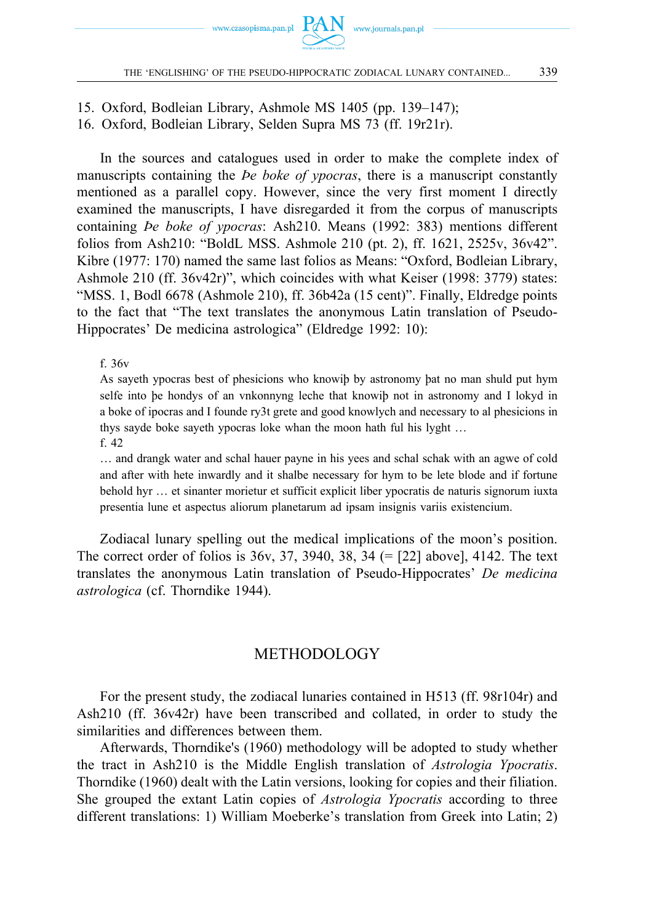

15. Oxford, Bodleian Library, Ashmole MS 1405 (pp. 139–147); 16. Oxford, Bodleian Library, Selden Supra MS 73 (ff. 19r21r).

In the sources and catalogues used in order to make the complete index of manuscripts containing the *Þe boke of ypocras*, there is a manuscript constantly mentioned as a parallel copy. However, since the very first moment I directly examined the manuscripts, I have disregarded it from the corpus of manuscripts containing *Þe boke of ypocras*: Ash210. Means (1992: 383) mentions different folios from Ash210: "BoldL MSS. Ashmole 210 (pt. 2), ff. 1621, 2525v, 36v42". Kibre (1977: 170) named the same last folios as Means: "Oxford, Bodleian Library, Ashmole 210 (ff. 36v42r)", which coincides with what Keiser (1998: 3779) states: "MSS. 1, Bodl 6678 (Ashmole 210), ff. 36b42a (15 cent)". Finally, Eldredge points to the fact that "The text translates the anonymous Latin translation of Pseudo-Hippocrates' De medicina astrologica" (Eldredge 1992: 10):

f. 36v

As sayeth ypocras best of phesicions who knowiþ by astronomy þat no man shuld put hym selfe into þe hondys of an vnkonnyng leche that knowiþ not in astronomy and I lokyd in a boke of ipocras and I founde ry3t grete and good knowlych and necessary to al phesicions in thys sayde boke sayeth ypocras loke whan the moon hath ful his lyght … f. 42

… and drangk water and schal hauer payne in his yees and schal schak with an agwe of cold and after with hete inwardly and it shalbe necessary for hym to be lete blode and if fortune behold hyr … et sinanter morietur et sufficit explicit liber ypocratis de naturis signorum iuxta presentia lune et aspectus aliorum planetarum ad ipsam insignis variis existencium.

Zodiacal lunary spelling out the medical implications of the moon's position. The correct order of folios is  $36v$ ,  $37$ ,  $3940$ ,  $38$ ,  $34$  (= [22] above], 4142. The text translates the anonymous Latin translation of Pseudo-Hippocrates' *De medicina astrologica* (cf. Thorndike 1944).

## METHODOLOGY

For the present study, the zodiacal lunaries contained in H513 (ff. 98r104r) and Ash210 (ff. 36v42r) have been transcribed and collated, in order to study the similarities and differences between them.

Afterwards, Thorndike's (1960) methodology will be adopted to study whether the tract in Ash210 is the Middle English translation of *Astrologia Ypocratis*. Thorndike (1960) dealt with the Latin versions, looking for copies and their filiation. She grouped the extant Latin copies of *Astrologia Ypocratis* according to three different translations: 1) William Moeberke's translation from Greek into Latin; 2)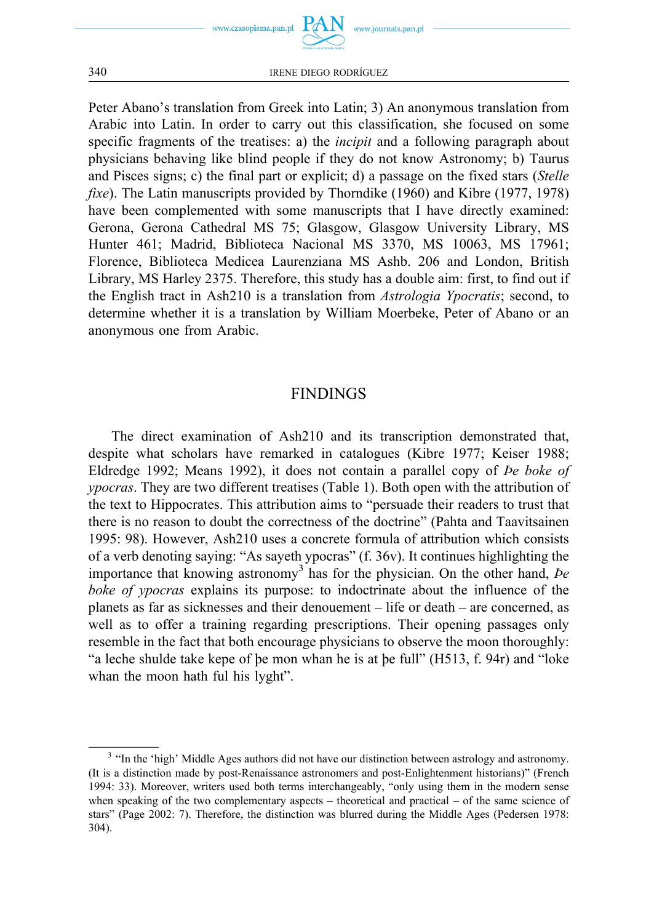

Peter Abano's translation from Greek into Latin; 3) An anonymous translation from Arabic into Latin. In order to carry out this classification, she focused on some specific fragments of the treatises: a) the *incipit* and a following paragraph about physicians behaving like blind people if they do not know Astronomy; b) Taurus and Pisces signs; c) the final part or explicit; d) a passage on the fixed stars (*Stelle fixe*). The Latin manuscripts provided by Thorndike (1960) and Kibre (1977, 1978) have been complemented with some manuscripts that I have directly examined: Gerona, Gerona Cathedral MS 75; Glasgow, Glasgow University Library, MS Hunter 461; Madrid, Biblioteca Nacional MS 3370, MS 10063, MS 17961; Florence, Biblioteca Medicea Laurenziana MS Ashb. 206 and London, British Library, MS Harley 2375. Therefore, this study has a double aim: first, to find out if the English tract in Ash210 is a translation from *Astrologia Ypocratis*; second, to determine whether it is a translation by William Moerbeke, Peter of Abano or an anonymous one from Arabic.

## FINDINGS

The direct examination of Ash210 and its transcription demonstrated that, despite what scholars have remarked in catalogues (Kibre 1977; Keiser 1988; Eldredge 1992; Means 1992), it does not contain a parallel copy of *Þe boke of ypocras*. They are two different treatises (Table 1). Both open with the attribution of the text to Hippocrates. This attribution aims to "persuade their readers to trust that there is no reason to doubt the correctness of the doctrine" (Pahta and Taavitsainen 1995: 98). However, Ash210 uses a concrete formula of attribution which consists of a verb denoting saying: "As sayeth ypocras" (f. 36v). It continues highlighting the importance that knowing astronomy<sup>3</sup> has for the physician. On the other hand, *be boke of ypocras* explains its purpose: to indoctrinate about the influence of the planets as far as sicknesses and their denouement – life or death – are concerned, as well as to offer a training regarding prescriptions. Their opening passages only resemble in the fact that both encourage physicians to observe the moon thoroughly: "a leche shulde take kepe of þe mon whan he is at þe full" (H513, f. 94r) and "loke whan the moon hath ful his lyght".

<sup>&</sup>lt;sup>3</sup> "In the 'high' Middle Ages authors did not have our distinction between astrology and astronomy. (It is a distinction made by post-Renaissance astronomers and post-Enlightenment historians)" (French 1994: 33). Moreover, writers used both terms interchangeably, "only using them in the modern sense when speaking of the two complementary aspects – theoretical and practical – of the same science of stars" (Page 2002: 7). Therefore, the distinction was blurred during the Middle Ages (Pedersen 1978: 304).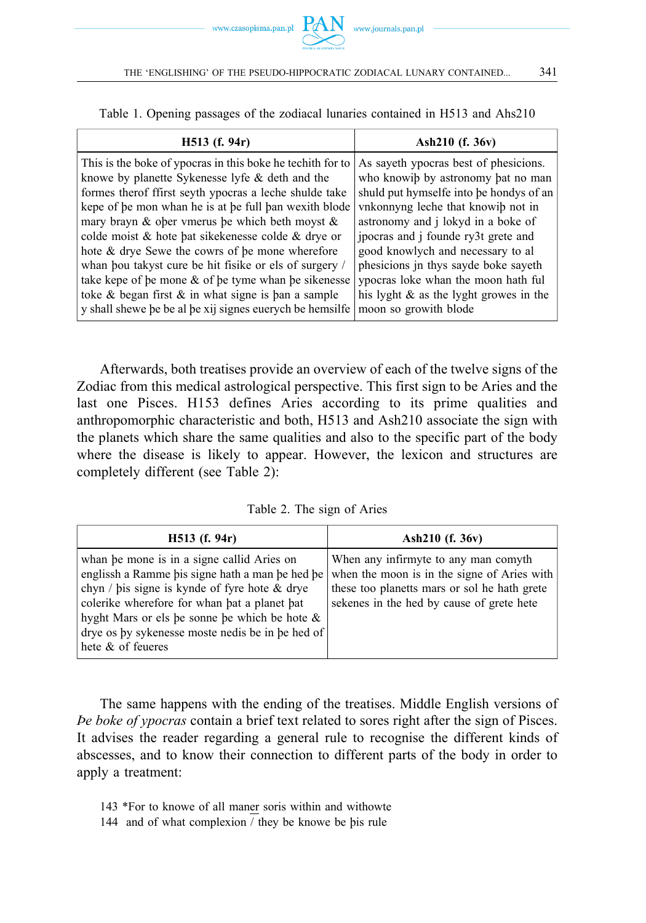Table 1. Opening passages of the zodiacal lunaries contained in H513 and Ahs210

| $H513$ (f. 94r)                                            | Ash210 (f. 36v)                           |  |
|------------------------------------------------------------|-------------------------------------------|--|
| This is the boke of ypocras in this boke he techith for to | As sayeth ypocras best of phesicions.     |  |
| knowe by planette Sykenesse lyfe & deth and the            | who knowib by astronomy bat no man        |  |
| formes therof ffirst seyth ypocras a leche shulde take     | shuld put hymselfe into be hondys of an   |  |
| kepe of be mon whan he is at be full ban wexith blode      | vnkonnyng leche that knowib not in        |  |
| mary brayn & oper vmerus be which beth moyst $\&$          | astronomy and j lokyd in a boke of        |  |
| colde moist & hote bat sike kenesse colde & drye or        | ipocras and j founde ry3t grete and       |  |
| hote & drye Sewe the cowrs of be mone wherefore            | good knowlych and necessary to al         |  |
| whan bou takyst cure be hit fisike or els of surgery /     | phesicions in thys sayde boke sayeth      |  |
| take kepe of be mone & of be tyme whan be sikenesse        | ypocras loke whan the moon hath ful       |  |
| toke $\&$ began first $\&$ in what signe is ban a sample   | his lyght $\&$ as the lyght growes in the |  |
| y shall shewe be be al be xij signes euerych be hemsilfe   | moon so growith blode                     |  |

Afterwards, both treatises provide an overview of each of the twelve signs of the Zodiac from this medical astrological perspective. This first sign to be Aries and the last one Pisces. H153 defines Aries according to its prime qualities and anthropomorphic characteristic and both, H513 and Ash210 associate the sign with the planets which share the same qualities and also to the specific part of the body where the disease is likely to appear. However, the lexicon and structures are completely different (see Table 2):

Table 2. The sign of Aries

| $H513$ (f. 94r)                                                                                                                                                                                                                                                                                                                | Ash $210$ (f. 36v)                                                                                                                                                               |
|--------------------------------------------------------------------------------------------------------------------------------------------------------------------------------------------------------------------------------------------------------------------------------------------------------------------------------|----------------------------------------------------------------------------------------------------------------------------------------------------------------------------------|
| whan be mone is in a signe callid Aries on<br>englissh a Ramme bis signe hath a man be hed be<br>chyn / bis signe is kynde of fyre hote $\&$ drye<br>colerike wherefore for whan bat a planet bat<br>hyght Mars or els be sonne be which be hote $\&$<br>drye os by sykenesse moste nedis be in be hed of<br>hete & of feueres | When any infirmyte to any man comyth<br>when the moon is in the signe of Aries with<br>these too planetts mars or sol he hath grete<br>sekenes in the hed by cause of grete hete |

The same happens with the ending of the treatises. Middle English versions of *Þe boke of ypocras* contain a brief text related to sores right after the sign of Pisces. It advises the reader regarding a general rule to recognise the different kinds of abscesses, and to know their connection to different parts of the body in order to apply a treatment:

143 \*For to knowe of all maner soris within and withowte

144 and of what complexion / they be knowe be þis rule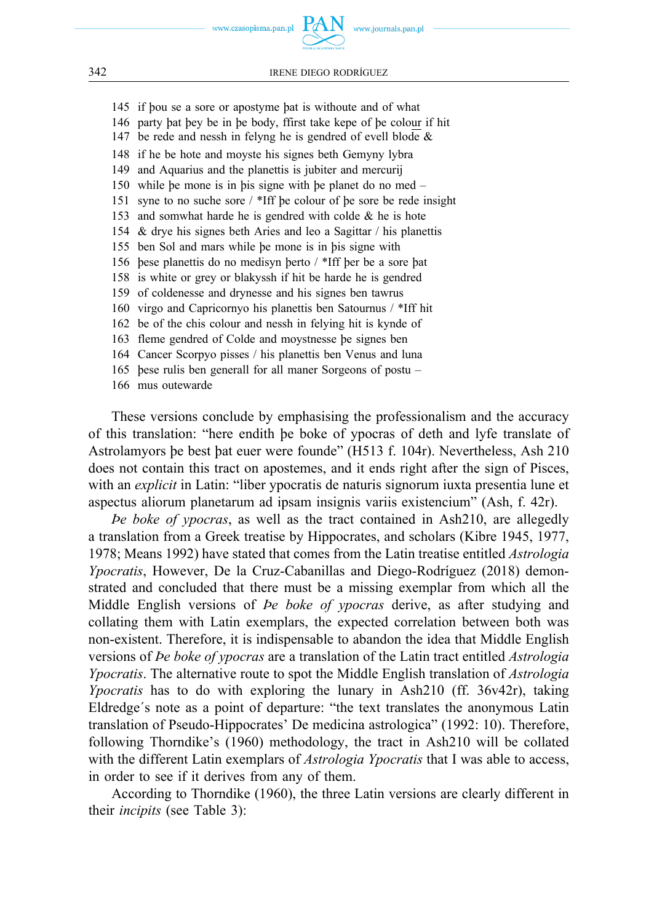

www.journals.pan.pl



### 342 IRENE DIEGO RODRÍGUEZ

145 if þou se a sore or apostyme þat is withoute and of what 146 party þat þey be in þe body, ffirst take kepe of þe colour if hit 147 be rede and nessh in felyng he is gendred of evell blode & 148 if he be hote and moyste his signes beth Gemyny lybra 149 and Aquarius and the planettis is jubiter and mercurij 150 while þe mone is in þis signe with þe planet do no med – 151 syne to no suche sore / \*Iff þe colour of þe sore be rede insight 153 and somwhat harde he is gendred with colde & he is hote 154 & drye his signes beth Aries and leo a Sagittar / his planettis 155 ben Sol and mars while þe mone is in þis signe with 156 þese planettis do no medisyn þerto / \*Iff þer be a sore þat 158 is white or grey or blakyssh if hit be harde he is gendred 159 of coldenesse and drynesse and his signes ben tawrus 160 virgo and Capricornyo his planettis ben Satournus / \*Iff hit 162 be of the chis colour and nessh in felying hit is kynde of 163 fleme gendred of Colde and moystnesse þe signes ben 164 Cancer Scorpyo pisses / his planettis ben Venus and luna 165 þese rulis ben generall for all maner Sorgeons of postu – 166 mus outewarde

These versions conclude by emphasising the professionalism and the accuracy of this translation: "here endith þe boke of ypocras of deth and lyfe translate of Astrolamyors þe best þat euer were founde" (H513 f. 104r). Nevertheless, Ash 210 does not contain this tract on apostemes, and it ends right after the sign of Pisces, with an *explicit* in Latin: "liber ypocratis de naturis signorum iuxta presentia lune et aspectus aliorum planetarum ad ipsam insignis variis existencium" (Ash, f. 42r).

*Þe boke of ypocras*, as well as the tract contained in Ash210, are allegedly a translation from a Greek treatise by Hippocrates, and scholars (Kibre 1945, 1977, 1978; Means 1992) have stated that comes from the Latin treatise entitled *Astrologia Ypocratis*, However, De la Cruz-Cabanillas and Diego-Rodríguez (2018) demonstrated and concluded that there must be a missing exemplar from which all the Middle English versions of *Þe boke of ypocras* derive, as after studying and collating them with Latin exemplars, the expected correlation between both was non-existent. Therefore, it is indispensable to abandon the idea that Middle English versions of *Þe boke of ypocras* are a translation of the Latin tract entitled *Astrologia Ypocratis*. The alternative route to spot the Middle English translation of *Astrologia Ypocratis* has to do with exploring the lunary in Ash210 (ff. 36v42r), taking Eldredge´s note as a point of departure: "the text translates the anonymous Latin translation of Pseudo-Hippocrates' De medicina astrologica" (1992: 10). Therefore, following Thorndike's (1960) methodology, the tract in Ash210 will be collated with the different Latin exemplars of *Astrologia Ypocratis* that I was able to access, in order to see if it derives from any of them.

According to Thorndike (1960), the three Latin versions are clearly different in their *incipits* (see Table 3):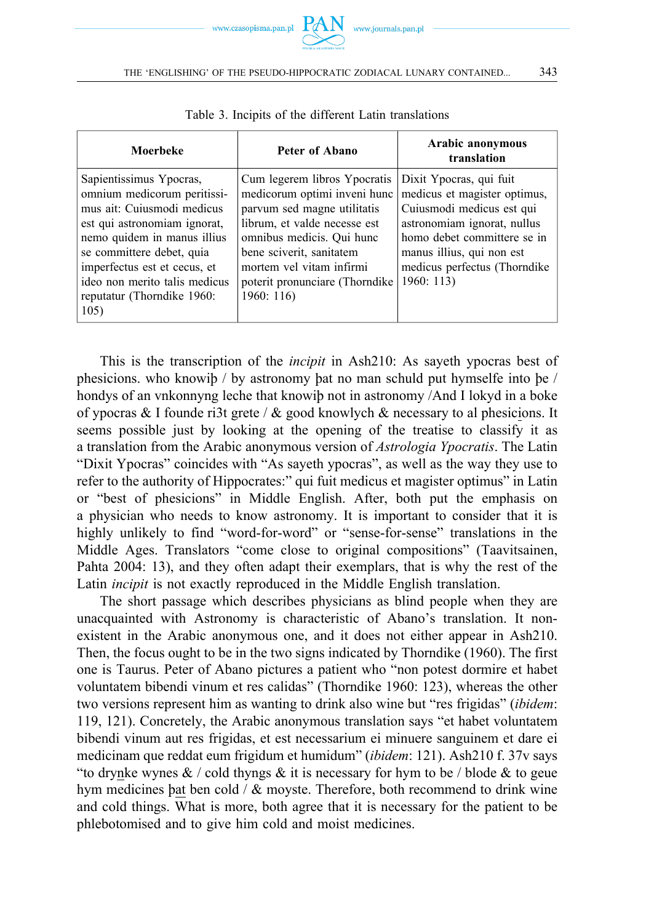

| Moerbeke                                                                                                                                                                                                                                                                                | Peter of Abano                                                                                                                                                                                                                                                  | Arabic anonymous<br>translation                                                                                                                                                                                             |
|-----------------------------------------------------------------------------------------------------------------------------------------------------------------------------------------------------------------------------------------------------------------------------------------|-----------------------------------------------------------------------------------------------------------------------------------------------------------------------------------------------------------------------------------------------------------------|-----------------------------------------------------------------------------------------------------------------------------------------------------------------------------------------------------------------------------|
| Sapientissimus Ypocras,<br>omnium medicorum peritissi-<br>mus ait: Cuiusmodi medicus<br>est qui astronomiam ignorat,<br>nemo quidem in manus illius<br>se committere debet, quia<br>imperfectus est et cecus, et<br>ideo non merito talis medicus<br>reputatur (Thorndike 1960:<br>105) | Cum legerem libros Ypocratis<br>medicorum optimi inveni hunc<br>parvum sed magne utilitatis<br>librum, et valde necesse est<br>omnibus medicis. Qui hunc<br>bene sciverit, sanitatem<br>mortem vel vitam infirmi<br>poterit pronunciare (Thorndike)<br>1960:116 | Dixit Ypocras, qui fuit<br>medicus et magister optimus,<br>Cuiusmodi medicus est qui<br>astronomiam ignorat, nullus<br>homo debet committere se in<br>manus illius, qui non est<br>medicus perfectus (Thorndike<br>1960:113 |

Table 3. Incipits of the different Latin translations

This is the transcription of the *incipit* in Ash210: As sayeth ypocras best of phesicions. who knowiþ / by astronomy þat no man schuld put hymselfe into þe / hondys of an vnkonnyng leche that knowiþ not in astronomy /And I lokyd in a boke of ypocras & I founde ri3t grete /  $\&$  good knowlych  $\&$  necessary to al phesicions. It seems possible just by looking at the opening of the treatise to classify it as a translation from the Arabic anonymous version of *Astrologia Ypocratis*. The Latin "Dixit Ypocras" coincides with "As sayeth ypocras", as well as the way they use to refer to the authority of Hippocrates:" qui fuit medicus et magister optimus" in Latin or "best of phesicions" in Middle English. After, both put the emphasis on a physician who needs to know astronomy. It is important to consider that it is highly unlikely to find "word-for-word" or "sense-for-sense" translations in the Middle Ages. Translators "come close to original compositions" (Taavitsainen, Pahta 2004: 13), and they often adapt their exemplars, that is why the rest of the Latin *incipit* is not exactly reproduced in the Middle English translation.

The short passage which describes physicians as blind people when they are unacquainted with Astronomy is characteristic of Abano's translation. It nonexistent in the Arabic anonymous one, and it does not either appear in Ash210. Then, the focus ought to be in the two signs indicated by Thorndike (1960). The first one is Taurus. Peter of Abano pictures a patient who "non potest dormire et habet voluntatem bibendi vinum et res calidas" (Thorndike 1960: 123), whereas the other two versions represent him as wanting to drink also wine but "res frigidas" (*ibidem*: 119, 121). Concretely, the Arabic anonymous translation says "et habet voluntatem bibendi vinum aut res frigidas, et est necessarium ei minuere sanguinem et dare ei medicinam que reddat eum frigidum et humidum" (*ibidem*: 121). Ash210 f. 37v says "to drynke wynes  $\&$  / cold thyngs  $&$  it is necessary for hym to be / blode  $&$  to geue hym medicines þat ben cold /  $\&$  moyste. Therefore, both recommend to drink wine and cold things. What is more, both agree that it is necessary for the patient to be phlebotomised and to give him cold and moist medicines.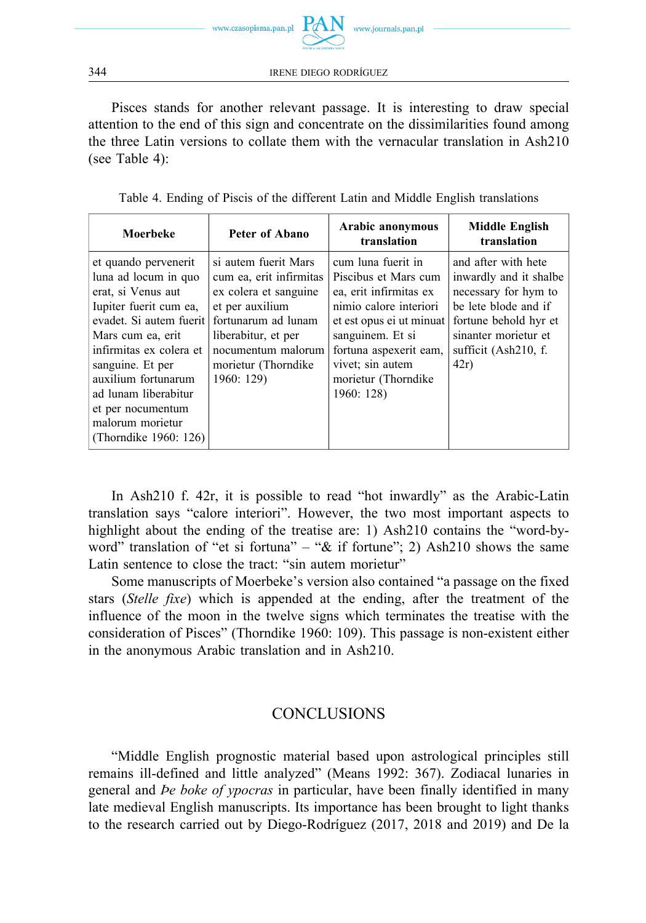

Pisces stands for another relevant passage. It is interesting to draw special attention to the end of this sign and concentrate on the dissimilarities found among the three Latin versions to collate them with the vernacular translation in Ash210 (see Table 4):

| Table 4. Ending of Piscis of the different Latin and Middle English translations |  |  |
|----------------------------------------------------------------------------------|--|--|
|----------------------------------------------------------------------------------|--|--|

| Moerbeke                                                                                                                                                                                                                                                                                                     | Peter of Abano                                                                                                                                                                                       | Arabic anonymous<br>translation                                                                                                                                                                                                 | Middle English<br>translation                                                                                                                                                 |
|--------------------------------------------------------------------------------------------------------------------------------------------------------------------------------------------------------------------------------------------------------------------------------------------------------------|------------------------------------------------------------------------------------------------------------------------------------------------------------------------------------------------------|---------------------------------------------------------------------------------------------------------------------------------------------------------------------------------------------------------------------------------|-------------------------------------------------------------------------------------------------------------------------------------------------------------------------------|
| et quando pervenerit<br>luna ad locum in quo<br>erat, si Venus aut<br>Iupiter fuerit cum ea,<br>evadet. Si autem fuerit<br>Mars cum ea, erit<br>infirmitas ex colera et<br>sanguine. Et per<br>auxilium fortunarum<br>ad lunam liberabitur<br>et per nocumentum<br>malorum morietur<br>(Thorndike 1960: 126) | si autem fuerit Mars<br>cum ea, erit infirmitas<br>ex colera et sanguine<br>et per auxilium<br>fortunarum ad lunam<br>liberabitur, et per<br>nocumentum malorum<br>morietur (Thorndike<br>1960: 129) | cum luna fuerit in<br>Piscibus et Mars cum<br>ea, erit infirmitas ex<br>nimio calore interiori<br>et est opus ei ut minuat<br>sanguinem. Et si<br>fortuna aspexerit eam,<br>vivet; sin autem<br>morietur (Thorndike<br>1960:128 | and after with hete<br>inwardly and it shalbe<br>necessary for hym to<br>be lete blode and if<br>fortune behold hyr et<br>sinanter morietur et<br>sufficit (Ash210, f.<br>42r |

In Ash210 f. 42r, it is possible to read "hot inwardly" as the Arabic-Latin translation says "calore interiori". However, the two most important aspects to highlight about the ending of the treatise are: 1) Ash210 contains the "word-byword" translation of "et si fortuna" – " $&$  if fortune"; 2) Ash210 shows the same Latin sentence to close the tract: "sin autem morietur"

Some manuscripts of Moerbeke's version also contained "a passage on the fixed stars (*Stelle fixe*) which is appended at the ending, after the treatment of the influence of the moon in the twelve signs which terminates the treatise with the consideration of Pisces" (Thorndike 1960: 109). This passage is non-existent either in the anonymous Arabic translation and in Ash210.

## **CONCLUSIONS**

"Middle English prognostic material based upon astrological principles still remains ill-defined and little analyzed" (Means 1992: 367). Zodiacal lunaries in general and *Þe boke of ypocras* in particular, have been finally identified in many late medieval English manuscripts. Its importance has been brought to light thanks to the research carried out by Diego-Rodríguez (2017, 2018 and 2019) and De la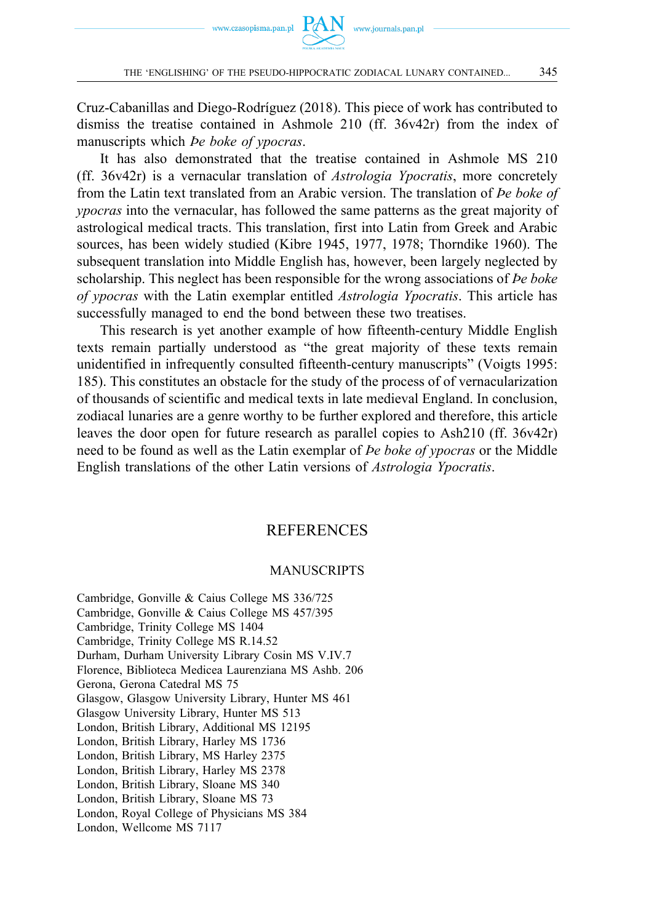Cruz-Cabanillas and Diego-Rodríguez (2018). This piece of work has contributed to dismiss the treatise contained in Ashmole 210 (ff. 36v42r) from the index of manuscripts which *Þe boke of ypocras*.

It has also demonstrated that the treatise contained in Ashmole MS 210 (ff. 36v42r) is a vernacular translation of *Astrologia Ypocratis*, more concretely from the Latin text translated from an Arabic version. The translation of *Þe boke of ypocras* into the vernacular, has followed the same patterns as the great majority of astrological medical tracts. This translation, first into Latin from Greek and Arabic sources, has been widely studied (Kibre 1945, 1977, 1978; Thorndike 1960). The subsequent translation into Middle English has, however, been largely neglected by scholarship. This neglect has been responsible for the wrong associations of *Þe boke of ypocras* with the Latin exemplar entitled *Astrologia Ypocratis*. This article has successfully managed to end the bond between these two treatises.

This research is yet another example of how fifteenth-century Middle English texts remain partially understood as "the great majority of these texts remain unidentified in infrequently consulted fifteenth-century manuscripts" (Voigts 1995: 185). This constitutes an obstacle for the study of the process of of vernacularization of thousands of scientific and medical texts in late medieval England. In conclusion, zodiacal lunaries are a genre worthy to be further explored and therefore, this article leaves the door open for future research as parallel copies to Ash210 (ff. 36v42r) need to be found as well as the Latin exemplar of *Þe boke of ypocras* or the Middle English translations of the other Latin versions of *Astrologia Ypocratis*.

## REFERENCES

### MANUSCRIPTS

Cambridge, Gonville & Caius College MS 336/725 Cambridge, Gonville & Caius College MS 457/395 Cambridge, Trinity College MS 1404 Cambridge, Trinity College MS R.14.52 Durham, Durham University Library Cosin MS V.IV.7 Florence, Biblioteca Medicea Laurenziana MS Ashb. 206 Gerona, Gerona Catedral MS 75 Glasgow, Glasgow University Library, Hunter MS 461 Glasgow University Library, Hunter MS 513 London, British Library, Additional MS 12195 London, British Library, Harley MS 1736 London, British Library, MS Harley 2375 London, British Library, Harley MS 2378 London, British Library, Sloane MS 340 London, British Library, Sloane MS 73 London, Royal College of Physicians MS 384 London, Wellcome MS 7117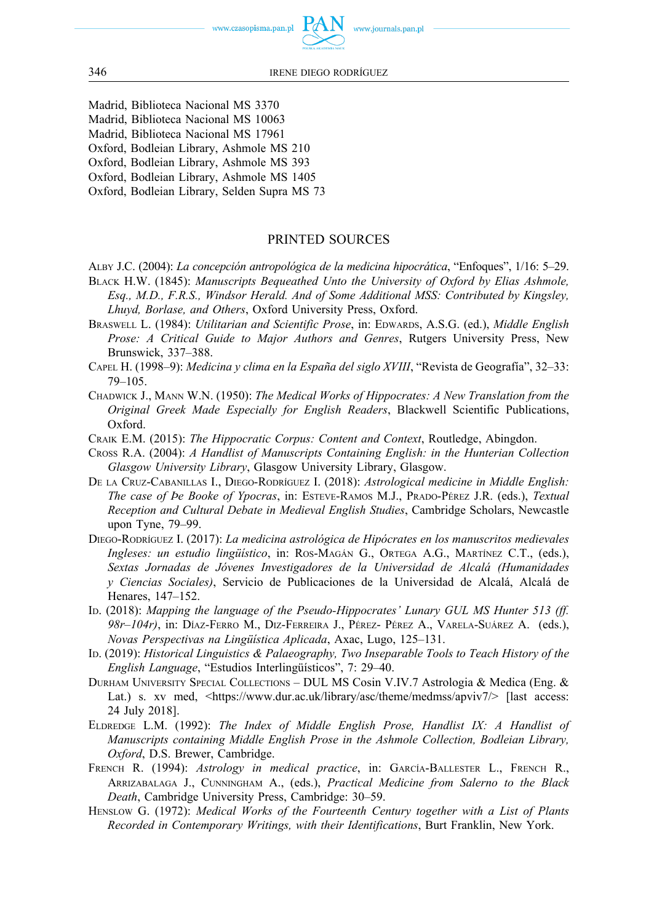

- Madrid, Biblioteca Nacional MS 3370
- Madrid, Biblioteca Nacional MS 10063
- Madrid, Biblioteca Nacional MS 17961
- Oxford, Bodleian Library, Ashmole MS 210
- Oxford, Bodleian Library, Ashmole MS 393
- Oxford, Bodleian Library, Ashmole MS 1405
- Oxford, Bodleian Library, Selden Supra MS 73

### PRINTED SOURCES

ALBY J.C. (2004): *La concepción antropológica de la medicina hipocrática*, "Enfoques", 1/16: 5–29.

- BLACK H.W. (1845): *Manuscripts Bequeathed Unto the University of Oxford by Elias Ashmole, Esq., M.D., F.R.S., Windsor Herald. And of Some Additional MSS: Contributed by Kingsley, Lhuyd, Borlase, and Others*, Oxford University Press, Oxford.
- BRASWELL L. (1984): *Utilitarian and Scientific Prose*, in: EDWARDS, A.S.G. (ed.), *Middle English Prose: A Critical Guide to Major Authors and Genres*, Rutgers University Press, New Brunswick, 337–388.
- CAPEL H. (1998–9): *Medicina y clima en la España del siglo XVIII*, "Revista de Geografía", 32–33: 79–105.
- CHADWICK J., MANN W.N. (1950): *The Medical Works of Hippocrates: A New Translation from the Original Greek Made Especially for English Readers*, Blackwell Scientific Publications, Oxford.
- CRAIK E.M. (2015): *The Hippocratic Corpus: Content and Context*, Routledge, Abingdon.
- CROSS R.A. (2004): *A Handlist of Manuscripts Containing English: in the Hunterian Collection Glasgow University Library*, Glasgow University Library, Glasgow.
- DE LA CRUZ-CABANILLAS I., DIEGO-RODRÍGUEZ I. (2018): *Astrological medicine in Middle English: The case of Þe Booke of Ypocras*, in: ESTEVE-RAMOS M.J., PRADO-PÉREZ J.R. (eds.), *Textual Reception and Cultural Debate in Medieval English Studies*, Cambridge Scholars, Newcastle upon Tyne, 79–99.
- DIEGO-RODRÍGUEZ I. (2017): *La medicina astrológica de Hipócrates en los manuscritos medievales Ingleses: un estudio lingüístico*, in: ROS-MAGÁN G., ORTEGA A.G., MARTÍNEZ C.T., (eds.), *Sextas Jornadas de Jóvenes Investigadores de la Universidad de Alcalá (Humanidades y Ciencias Sociales)*, Servicio de Publicaciones de la Universidad de Alcalá, Alcalá de Henares, 147–152.
- ID. (2018): *Mapping the language of the Pseudo-Hippocrates' Lunary GUL MS Hunter 513 (ff. 98r*–*104r)*, in: DÍAZ-FERRO M., DIZ-FERREIRA J., PÉREZ- PÉREZ A., VARELA-SUÁREZ A. (eds.), *Novas Perspectivas na Lingüística Aplicada*, Axac, Lugo, 125–131.
- ID. (2019): *Historical Linguistics & Palaeography, Two Inseparable Tools to Teach History of the English Language*, "Estudios Interlingüísticos", 7: 29–40.
- DURHAM UNIVERSITY SPECIAL COLLECTIONS DUL MS Cosin V.IV.7 Astrologia & Medica (Eng. & Lat.) s. xv med, [<https://www.dur.ac.uk/library/asc/theme/medmss/apviv7/>](https://www.dur.ac.uk/library/asc/theme/medmss/apviv7/) [last access: 24 July 2018].
- ELDREDGE L.M. (1992): *The Index of Middle English Prose, Handlist IX: A Handlist of Manuscripts containing Middle English Prose in the Ashmole Collection, Bodleian Library, Oxford*, D.S. Brewer, Cambridge.
- FRENCH R. (1994): *Astrology in medical practice*, in: GARCÍA-BALLESTER L., FRENCH R., ARRIZABALAGA J., CUNNINGHAM A., (eds.), *Practical Medicine from Salerno to the Black Death*, Cambridge University Press, Cambridge: 30–59.
- HENSLOW G. (1972): *Medical Works of the Fourteenth Century together with a List of Plants Recorded in Contemporary Writings, with their Identifications*, Burt Franklin, New York.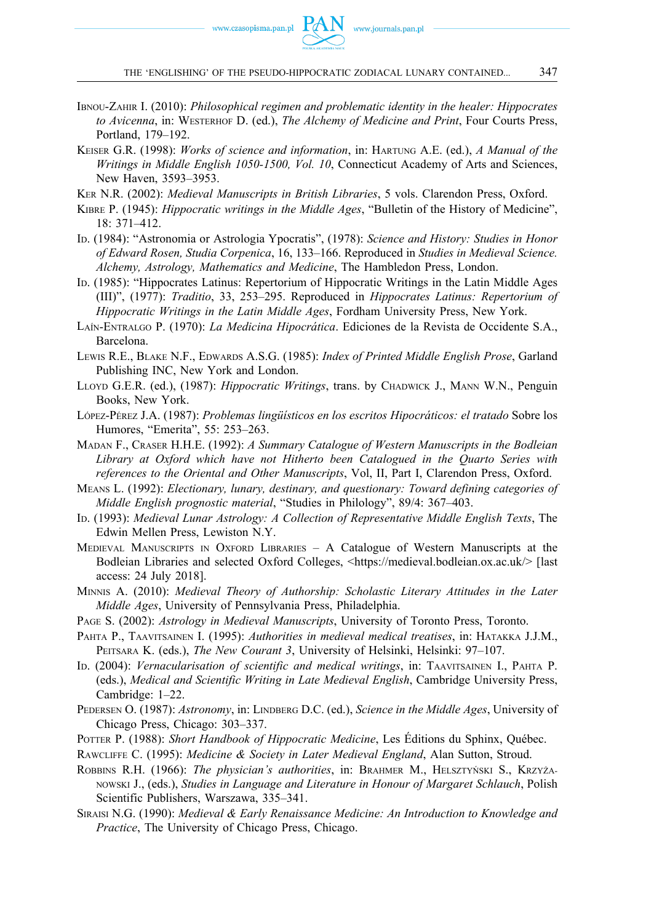- IBNOU-ZAHIR I. (2010): *Philosophical regimen and problematic identity in the healer: Hippocrates to Avicenna*, in: WESTERHOF D. (ed.), *The Alchemy of Medicine and Print*, Four Courts Press, Portland, 179–192.
- KEISER G.R. (1998): *Works of science and information*, in: HARTUNG A.E. (ed.), *A Manual of the Writings in Middle English 1050-1500, Vol. 10*, Connecticut Academy of Arts and Sciences, New Haven, 3593–3953.
- KER N.R. (2002): *Medieval Manuscripts in British Libraries*, 5 vols. Clarendon Press, Oxford.
- KIBRE P. (1945): *Hippocratic writings in the Middle Ages*, "Bulletin of the History of Medicine", 18: 371–412.
- ID. (1984): "Astronomia or Astrologia Ypocratis", (1978): *Science and History: Studies in Honor of Edward Rosen, Studia Corpenica*, 16, 133–166. Reproduced in *Studies in Medieval Science. Alchemy, Astrology, Mathematics and Medicine*, The Hambledon Press, London.
- ID. (1985): "Hippocrates Latinus: Repertorium of Hippocratic Writings in the Latin Middle Ages (III)", (1977): *Traditio*, 33, 253–295. Reproduced in *Hippocrates Latinus: Repertorium of Hippocratic Writings in the Latin Middle Ages*, Fordham University Press, New York.
- LAÍN-ENTRALGO P. (1970): *La Medicina Hipocrática*. Ediciones de la Revista de Occidente S.A., Barcelona.
- LEWIS R.E., BLAKE N.F., EDWARDS A.S.G. (1985): *Index of Printed Middle English Prose*, Garland Publishing INC, New York and London.
- LLOYD G.E.R. (ed.), (1987): *Hippocratic Writings*, trans. by CHADWICK J., MANN W.N., Penguin Books, New York.
- LÓPEZ-PÉREZ J.A. (1987): *Problemas lingüísticos en los escritos Hipocráticos: el tratado* Sobre los Humores, "Emerita", 55: 253–263.
- MADAN F., CRASER H.H.E. (1992): *A Summary Catalogue of Western Manuscripts in the Bodleian Library at Oxford which have not Hitherto been Catalogued in the Quarto Series with references to the Oriental and Other Manuscripts*, Vol, II, Part I, Clarendon Press, Oxford.
- MEANS L. (1992): *Electionary, lunary, destinary, and questionary: Toward defining categories of Middle English prognostic material*, "Studies in Philology", 89/4: 367–403.
- ID. (1993): *Medieval Lunar Astrology: A Collection of Representative Middle English Texts*, The Edwin Mellen Press, Lewiston N.Y.
- MEDIEVAL MANUSCRIPTS IN OXFORD LIBRARIES A Catalogue of Western Manuscripts at the Bodleian Libraries and selected Oxford Colleges, [<https://medieval.bodleian.ox.ac.uk/>](https://medieval.bodleian.ox.ac.uk/) [last access: 24 July 2018].
- MINNIS A. (2010): *Medieval Theory of Authorship: Scholastic Literary Attitudes in the Later Middle Ages*, University of Pennsylvania Press, Philadelphia.
- PAGE S. (2002): *Astrology in Medieval Manuscripts*, University of Toronto Press, Toronto.
- PAHTA P., TAAVITSAINEN I. (1995): *Authorities in medieval medical treatises*, in: HATAKKA J.J.M., PEITSARA K. (eds.), *The New Courant 3*, University of Helsinki, Helsinki: 97–107.
- ID. (2004): *Vernacularisation of scientific and medical writings*, in: TAAVITSAINEN I., PAHTA P. (eds.), *Medical and Scientific Writing in Late Medieval English*, Cambridge University Press, Cambridge: 1–22.
- PEDERSEN O. (1987): *Astronomy*, in: LINDBERG D.C. (ed.), *Science in the Middle Ages*, University of Chicago Press, Chicago: 303–337.
- POTTER P. (1988): *Short Handbook of Hippocratic Medicine*, Les Éditions du Sphinx, Québec.
- RAWCLIFFE C. (1995): *Medicine & Society in Later Medieval England*, Alan Sutton, Stroud.
- ROBBINS R.H. (1966): *The physician's authorities*, in: BRAHMER M., HELSZTYŃSKI S., KRZYŻA-NOWSKI J., (eds.), *Studies in Language and Literature in Honour of Margaret Schlauch*, Polish Scientific Publishers, Warszawa, 335–341.
- SIRAISI N.G. (1990): *Medieval & Early Renaissance Medicine: An Introduction to Knowledge and Practice*, The University of Chicago Press, Chicago.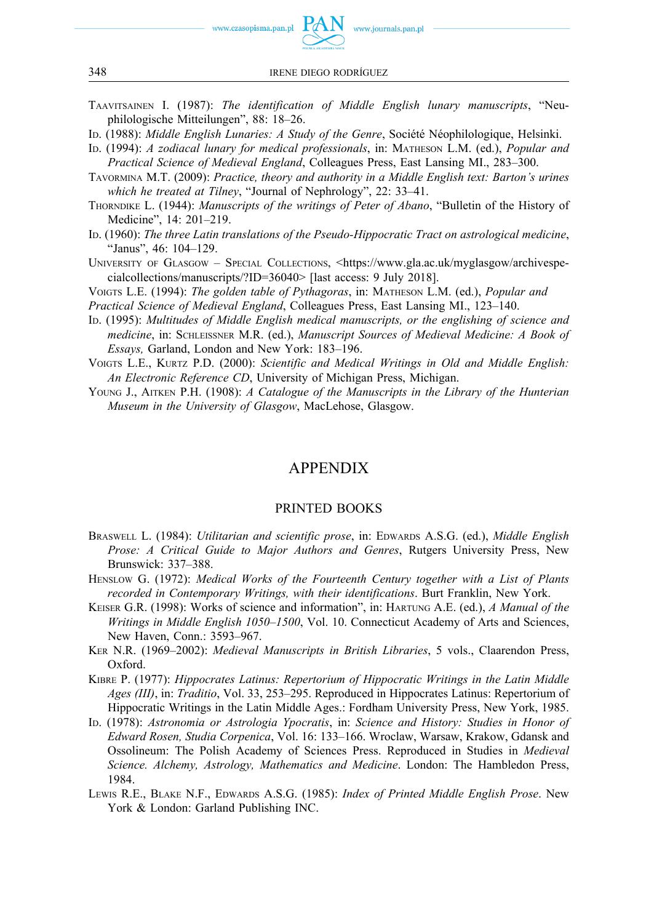

- TAAVITSAINEN I. (1987): *The identification of Middle English lunary manuscripts*, "Neuphilologische Mitteilungen", 88: 18–26.
- ID. (1988): *Middle English Lunaries: A Study of the Genre*, Société Néophilologique, Helsinki.
- ID. (1994): *A zodiacal lunary for medical professionals*, in: MATHESON L.M. (ed.), *Popular and Practical Science of Medieval England*, Colleagues Press, East Lansing MI., 283–300.
- TAVORMINA M.T. (2009): *Practice, theory and authority in a Middle English text: Barton's urines which he treated at Tilney*, "Journal of Nephrology", 22: 33–41.
- THORNDIKE L. (1944): *Manuscripts of the writings of Peter of Abano*, "Bulletin of the History of Medicine", 14: 201–219.
- ID. (1960): *The three Latin translations of the Pseudo-Hippocratic Tract on astrological medicine*, "Janus", 46: 104–129.
- UNIVERSITY OF GLASGOW SPECIAL COLLECTIONS, <[https://www.gla.ac.uk/myglasgow/archivespe](https://www.gla.ac.uk/myglasgow/archivespecialcollections/manuscripts/?ID=36040)[cialcollections/manuscripts/?ID=36040>](https://www.gla.ac.uk/myglasgow/archivespecialcollections/manuscripts/?ID=36040) [last access: 9 July 2018].

VOIGTS L.E. (1994): *The golden table of Pythagoras*, in: MATHESON L.M. (ed.), *Popular and* 

- *Practical Science of Medieval England*, Colleagues Press, East Lansing MI., 123–140.
- ID. (1995): *Multitudes of Middle English medical manuscripts, or the englishing of science and medicine*, in: SCHLEISSNER M.R. (ed.), *Manuscript Sources of Medieval Medicine: A Book of Essays,* Garland, London and New York: 183–196.
- VOIGTS L.E., KURTZ P.D. (2000): *Scientific and Medical Writings in Old and Middle English: An Electronic Reference CD*, University of Michigan Press, Michigan.
- YOUNG J., AITKEN P.H. (1908): *A Catalogue of the Manuscripts in the Library of the Hunterian Museum in the University of Glasgow*, MacLehose, Glasgow.

### APPENDIX

#### PRINTED BOOKS

- BRASWELL L. (1984): *Utilitarian and scientific prose*, in: EDWARDS A.S.G. (ed.), *Middle English Prose: A Critical Guide to Major Authors and Genres*, Rutgers University Press, New Brunswick: 337–388.
- HENSLOW G. (1972): *Medical Works of the Fourteenth Century together with a List of Plants recorded in Contemporary Writings, with their identifications*. Burt Franklin, New York.
- KEISER G.R. (1998): Works of science and information", in: HARTUNG A.E. (ed.), *A Manual of the Writings in Middle English 1050*–*1500*, Vol. 10. Connecticut Academy of Arts and Sciences, New Haven, Conn.: 3593–967.
- KER N.R. (1969–2002): *Medieval Manuscripts in British Libraries*, 5 vols., Claarendon Press, Oxford.
- KIBRE P. (1977): *Hippocrates Latinus: Repertorium of Hippocratic Writings in the Latin Middle Ages (III)*, in: *Traditio*, Vol. 33, 253–295. Reproduced in Hippocrates Latinus: Repertorium of Hippocratic Writings in the Latin Middle Ages.: Fordham University Press, New York, 1985.
- ID. (1978): *Astronomia or Astrologia Ypocratis*, in: *Science and History: Studies in Honor of Edward Rosen, Studia Corpenica*, Vol. 16: 133–166. Wroclaw, Warsaw, Krakow, Gdansk and Ossolineum: The Polish Academy of Sciences Press. Reproduced in Studies in *Medieval Science. Alchemy, Astrology, Mathematics and Medicine*. London: The Hambledon Press, 1984.
- LEWIS R.E., BLAKE N.F., EDWARDS A.S.G. (1985): *Index of Printed Middle English Prose*. New York & London: Garland Publishing INC.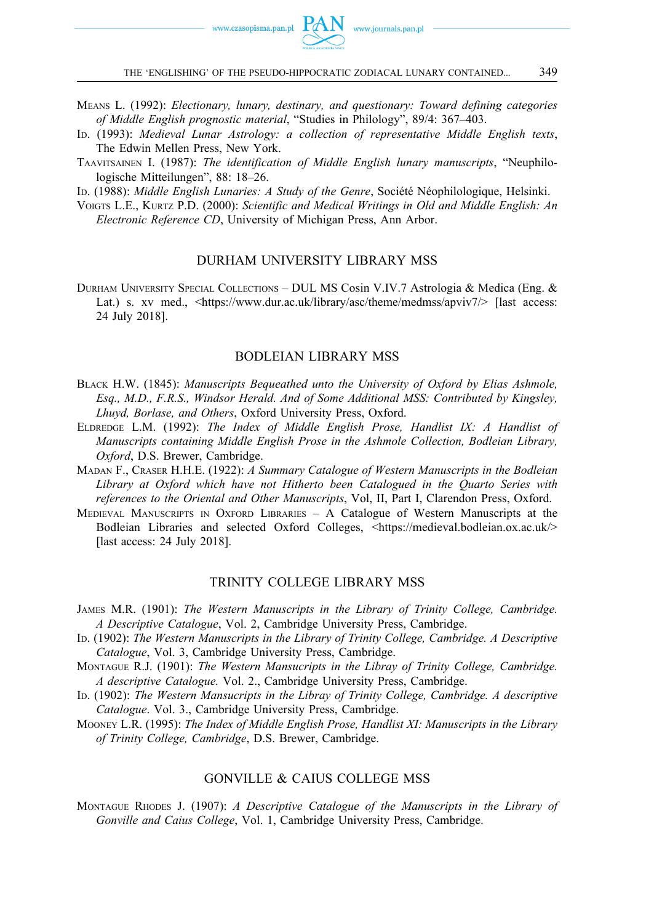- MEANS L. (1992): *Electionary, lunary, destinary, and questionary: Toward defining categories of Middle English prognostic material*, "Studies in Philology", 89/4: 367–403.
- ID. (1993): *Medieval Lunar Astrology: a collection of representative Middle English texts*, The Edwin Mellen Press, New York.
- TAAVITSAINEN I. (1987): *The identification of Middle English lunary manuscripts*, "Neuphilologische Mitteilungen", 88: 18–26.

ID. (1988): *Middle English Lunaries: A Study of the Genre*, Société Néophilologique, Helsinki.

VOIGTS L.E., KURTZ P.D. (2000): *Scientific and Medical Writings in Old and Middle English: An Electronic Reference CD*, University of Michigan Press, Ann Arbor.

### DURHAM UNIVERSITY LIBRARY MSS

DURHAM UNIVERSITY SPECIAL COLLECTIONS – DUL MS Cosin V.IV.7 Astrologia & Medica (Eng. & Lat.) s. xv med., <[https://www.dur.ac.uk/library/asc/theme/medmss/apviv7/>](https://www.dur.ac.uk/library/asc/theme/medmss/apviv7/) [last access: 24 July 2018].

#### BODLEIAN LIBRARY MSS

- BLACK H.W. (1845): *Manuscripts Bequeathed unto the University of Oxford by Elias Ashmole, Esq., M.D., F.R.S., Windsor Herald. And of Some Additional MSS: Contributed by Kingsley, Lhuyd, Borlase, and Others*, Oxford University Press, Oxford.
- ELDREDGE L.M. (1992): *The Index of Middle English Prose, Handlist IX: A Handlist of Manuscripts containing Middle English Prose in the Ashmole Collection, Bodleian Library, Oxford*, D.S. Brewer, Cambridge.
- MADAN F., CRASER H.H.E. (1922): *A Summary Catalogue of Western Manuscripts in the Bodleian Library at Oxford which have not Hitherto been Catalogued in the Quarto Series with references to the Oriental and Other Manuscripts*, Vol, II, Part I, Clarendon Press, Oxford.
- MEDIEVAL MANUSCRIPTS IN OXFORD LIBRARIES A Catalogue of Western Manuscripts at the Bodleian Libraries and selected Oxford Colleges, [<https://medieval.bodleian.ox.ac.uk/>](https://medieval.bodleian.ox.ac.uk/) [last access: 24 July 2018].

#### TRINITY COLLEGE LIBRARY MSS

- JAMES M.R. (1901): *The Western Manuscripts in the Library of Trinity College, Cambridge. A Descriptive Catalogue*, Vol. 2, Cambridge University Press, Cambridge.
- ID. (1902): *The Western Manuscripts in the Library of Trinity College, Cambridge. A Descriptive Catalogue*, Vol. 3, Cambridge University Press, Cambridge.
- MONTAGUE R.J. (1901): *The Western Mansucripts in the Libray of Trinity College, Cambridge. A descriptive Catalogue.* Vol. 2., Cambridge University Press, Cambridge.
- ID. (1902): *The Western Mansucripts in the Libray of Trinity College, Cambridge. A descriptive Catalogue*. Vol. 3., Cambridge University Press, Cambridge.
- MOONEY L.R. (1995): *The Index of Middle English Prose, Handlist XI: Manuscripts in the Library of Trinity College, Cambridge*, D.S. Brewer, Cambridge.

#### GONVILLE & CAIUS COLLEGE MSS

MONTAGUE RHODES J. (1907): *A Descriptive Catalogue of the Manuscripts in the Library of Gonville and Caius College*, Vol. 1, Cambridge University Press, Cambridge.